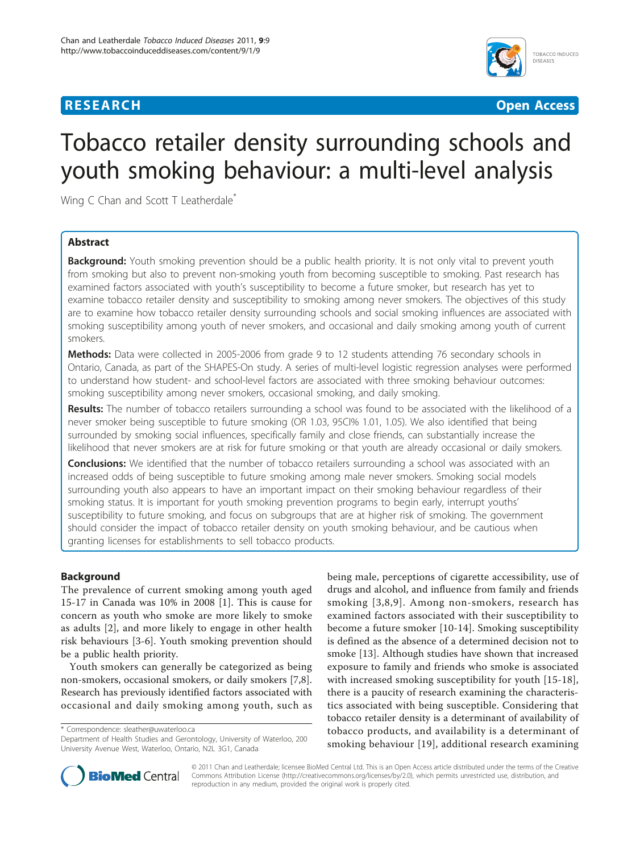# **RESEARCH CONTROL** CONTROL CONTROL CONTROL CONTROL CONTROL CONTROL CONTROL CONTROL CONTROL CONTROL CONTROL CONTROL



# Tobacco retailer density surrounding schools and youth smoking behaviour: a multi-level analysis

Wing C Chan and Scott T Leatherdale<sup>\*</sup>

# Abstract

**Background:** Youth smoking prevention should be a public health priority. It is not only vital to prevent youth from smoking but also to prevent non-smoking youth from becoming susceptible to smoking. Past research has examined factors associated with youth's susceptibility to become a future smoker, but research has yet to examine tobacco retailer density and susceptibility to smoking among never smokers. The objectives of this study are to examine how tobacco retailer density surrounding schools and social smoking influences are associated with smoking susceptibility among youth of never smokers, and occasional and daily smoking among youth of current smokers.

Methods: Data were collected in 2005-2006 from grade 9 to 12 students attending 76 secondary schools in Ontario, Canada, as part of the SHAPES-On study. A series of multi-level logistic regression analyses were performed to understand how student- and school-level factors are associated with three smoking behaviour outcomes: smoking susceptibility among never smokers, occasional smoking, and daily smoking.

Results: The number of tobacco retailers surrounding a school was found to be associated with the likelihood of a never smoker being susceptible to future smoking (OR 1.03, 95CI% 1.01, 1.05). We also identified that being surrounded by smoking social influences, specifically family and close friends, can substantially increase the likelihood that never smokers are at risk for future smoking or that youth are already occasional or daily smokers.

**Conclusions:** We identified that the number of tobacco retailers surrounding a school was associated with an increased odds of being susceptible to future smoking among male never smokers. Smoking social models surrounding youth also appears to have an important impact on their smoking behaviour regardless of their smoking status. It is important for youth smoking prevention programs to begin early, interrupt youths' susceptibility to future smoking, and focus on subgroups that are at higher risk of smoking. The government should consider the impact of tobacco retailer density on youth smoking behaviour, and be cautious when granting licenses for establishments to sell tobacco products.

# Background

The prevalence of current smoking among youth aged 15-17 in Canada was 10% in 2008 [[1\]](#page-5-0). This is cause for concern as youth who smoke are more likely to smoke as adults [\[2](#page-5-0)], and more likely to engage in other health risk behaviours [\[3](#page-5-0)-[6\]](#page-5-0). Youth smoking prevention should be a public health priority.

Youth smokers can generally be categorized as being non-smokers, occasional smokers, or daily smokers [\[7,8](#page-5-0)]. Research has previously identified factors associated with occasional and daily smoking among youth, such as

\* Correspondence: [sleather@uwaterloo.ca](mailto:sleather@uwaterloo.ca)

being male, perceptions of cigarette accessibility, use of drugs and alcohol, and influence from family and friends smoking [[3](#page-5-0),[8](#page-5-0),[9](#page-5-0)]. Among non-smokers, research has examined factors associated with their susceptibility to become a future smoker [\[10](#page-5-0)[-14](#page-6-0)]. Smoking susceptibility is defined as the absence of a determined decision not to smoke [[13](#page-6-0)]. Although studies have shown that increased exposure to family and friends who smoke is associated with increased smoking susceptibility for youth [\[15](#page-6-0)-[18](#page-6-0)], there is a paucity of research examining the characteristics associated with being susceptible. Considering that tobacco retailer density is a determinant of availability of tobacco products, and availability is a determinant of smoking behaviour [[19](#page-6-0)], additional research examining



© 2011 Chan and Leatherdale; licensee BioMed Central Ltd. This is an Open Access article distributed under the terms of the Creative Commons Attribution License [\(http://creativecommons.org/licenses/by/2.0](http://creativecommons.org/licenses/by/2.0)), which permits unrestricted use, distribution, and reproduction in any medium, provided the original work is properly cited.

Department of Health Studies and Gerontology, University of Waterloo, 200 University Avenue West, Waterloo, Ontario, N2L 3G1, Canada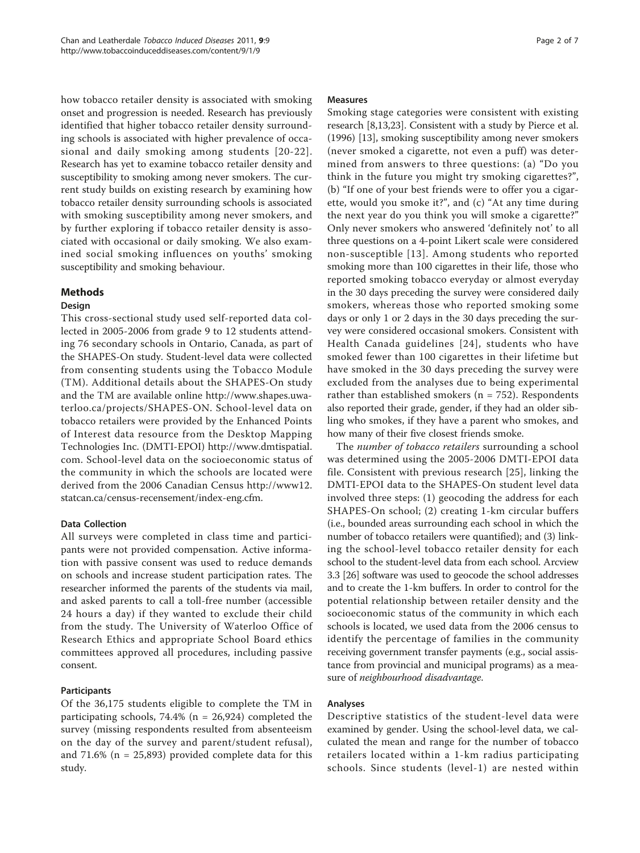how tobacco retailer density is associated with smoking onset and progression is needed. Research has previously identified that higher tobacco retailer density surrounding schools is associated with higher prevalence of occasional and daily smoking among students [[20-22\]](#page-6-0). Research has yet to examine tobacco retailer density and susceptibility to smoking among never smokers. The current study builds on existing research by examining how tobacco retailer density surrounding schools is associated with smoking susceptibility among never smokers, and by further exploring if tobacco retailer density is associated with occasional or daily smoking. We also examined social smoking influences on youths' smoking susceptibility and smoking behaviour.

## Methods

## **Design**

This cross-sectional study used self-reported data collected in 2005-2006 from grade 9 to 12 students attending 76 secondary schools in Ontario, Canada, as part of the SHAPES-On study. Student-level data were collected from consenting students using the Tobacco Module (TM). Additional details about the SHAPES-On study and the TM are available online [http://www.shapes.uwa](http://www.shapes.uwaterloo.ca/projects/SHAPES-ON)[terloo.ca/projects/SHAPES-ON](http://www.shapes.uwaterloo.ca/projects/SHAPES-ON). School-level data on tobacco retailers were provided by the Enhanced Points of Interest data resource from the Desktop Mapping Technologies Inc. (DMTI-EPOI) [http://www.dmtispatial.](http://www.dmtispatial.com) [com](http://www.dmtispatial.com). School-level data on the socioeconomic status of the community in which the schools are located were derived from the 2006 Canadian Census [http://www12.](http://www12.statcan.ca/census-recensement/index-eng.cfm) [statcan.ca/census-recensement/index-eng.cfm.](http://www12.statcan.ca/census-recensement/index-eng.cfm)

## Data Collection

All surveys were completed in class time and participants were not provided compensation. Active information with passive consent was used to reduce demands on schools and increase student participation rates. The researcher informed the parents of the students via mail, and asked parents to call a toll-free number (accessible 24 hours a day) if they wanted to exclude their child from the study. The University of Waterloo Office of Research Ethics and appropriate School Board ethics committees approved all procedures, including passive consent.

## **Participants**

Of the 36,175 students eligible to complete the TM in participating schools, 74.4% ( $n = 26,924$ ) completed the survey (missing respondents resulted from absenteeism on the day of the survey and parent/student refusal), and 71.6% ( $n = 25,893$ ) provided complete data for this study.

## Measures

Smoking stage categories were consistent with existing research [[8](#page-5-0)[,13,23](#page-6-0)]. Consistent with a study by Pierce et al. (1996) [[13\]](#page-6-0), smoking susceptibility among never smokers (never smoked a cigarette, not even a puff) was determined from answers to three questions: (a) "Do you think in the future you might try smoking cigarettes?", (b) "If one of your best friends were to offer you a cigarette, would you smoke it?", and (c) "At any time during the next year do you think you will smoke a cigarette?" Only never smokers who answered 'definitely not' to all three questions on a 4-point Likert scale were considered non-susceptible [[13\]](#page-6-0). Among students who reported smoking more than 100 cigarettes in their life, those who reported smoking tobacco everyday or almost everyday in the 30 days preceding the survey were considered daily smokers, whereas those who reported smoking some days or only 1 or 2 days in the 30 days preceding the survey were considered occasional smokers. Consistent with Health Canada guidelines [[24\]](#page-6-0), students who have smoked fewer than 100 cigarettes in their lifetime but have smoked in the 30 days preceding the survey were excluded from the analyses due to being experimental rather than established smokers ( $n = 752$ ). Respondents also reported their grade, gender, if they had an older sibling who smokes, if they have a parent who smokes, and how many of their five closest friends smoke.

The number of tobacco retailers surrounding a school was determined using the 2005-2006 DMTI-EPOI data file. Consistent with previous research [[25](#page-6-0)], linking the DMTI-EPOI data to the SHAPES-On student level data involved three steps: (1) geocoding the address for each SHAPES-On school; (2) creating 1-km circular buffers (i.e., bounded areas surrounding each school in which the number of tobacco retailers were quantified); and (3) linking the school-level tobacco retailer density for each school to the student-level data from each school. Arcview 3.3 [\[26\]](#page-6-0) software was used to geocode the school addresses and to create the 1-km buffers. In order to control for the potential relationship between retailer density and the socioeconomic status of the community in which each schools is located, we used data from the 2006 census to identify the percentage of families in the community receiving government transfer payments (e.g., social assistance from provincial and municipal programs) as a measure of neighbourhood disadvantage.

# Analyses

Descriptive statistics of the student-level data were examined by gender. Using the school-level data, we calculated the mean and range for the number of tobacco retailers located within a 1-km radius participating schools. Since students (level-1) are nested within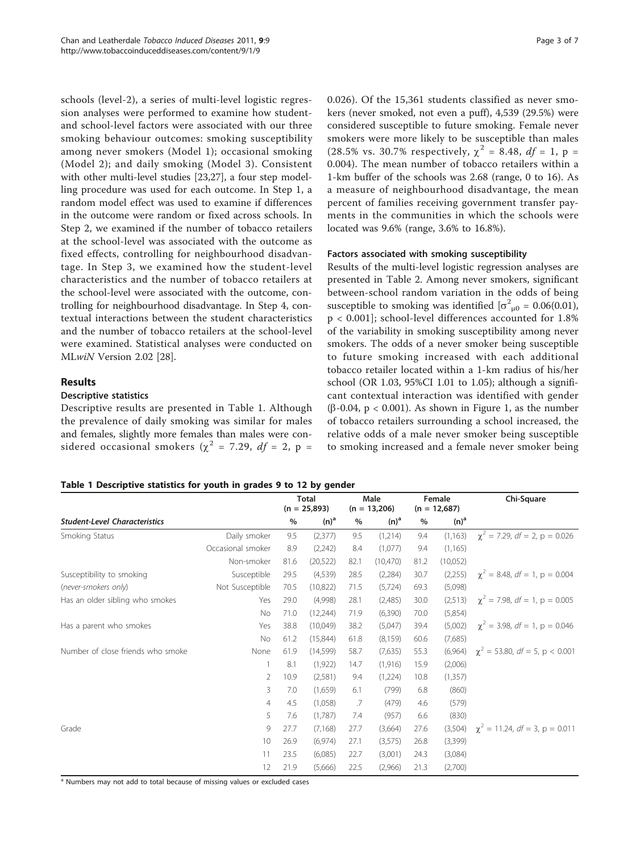schools (level-2), a series of multi-level logistic regression analyses were performed to examine how studentand school-level factors were associated with our three smoking behaviour outcomes: smoking susceptibility among never smokers (Model 1); occasional smoking (Model 2); and daily smoking (Model 3). Consistent with other multi-level studies [[23,27\]](#page-6-0), a four step modelling procedure was used for each outcome. In Step 1, a random model effect was used to examine if differences in the outcome were random or fixed across schools. In Step 2, we examined if the number of tobacco retailers at the school-level was associated with the outcome as fixed effects, controlling for neighbourhood disadvantage. In Step 3, we examined how the student-level characteristics and the number of tobacco retailers at the school-level were associated with the outcome, controlling for neighbourhood disadvantage. In Step 4, contextual interactions between the student characteristics and the number of tobacco retailers at the school-level were examined. Statistical analyses were conducted on MLwiN Version 2.02 [[28\]](#page-6-0).

## Results

#### Descriptive statistics

Descriptive results are presented in Table 1. Although the prevalence of daily smoking was similar for males and females, slightly more females than males were considered occasional smokers ( $\chi^2$  = 7.29, *df* = 2, p =

0.026). Of the 15,361 students classified as never smokers (never smoked, not even a puff), 4,539 (29.5%) were considered susceptible to future smoking. Female never smokers were more likely to be susceptible than males (28.5% vs. 30.7% respectively,  $\chi^2 = 8.48$ ,  $df = 1$ , p = 0.004). The mean number of tobacco retailers within a 1-km buffer of the schools was 2.68 (range, 0 to 16). As a measure of neighbourhood disadvantage, the mean percent of families receiving government transfer payments in the communities in which the schools were located was 9.6% (range, 3.6% to 16.8%).

#### Factors associated with smoking susceptibility

Results of the multi-level logistic regression analyses are presented in Table [2](#page-3-0). Among never smokers, significant between-school random variation in the odds of being susceptible to smoking was identified  $\sigma_{\mu 0}^2 = 0.06(0.01)$ , p < 0.001]; school-level differences accounted for 1.8% of the variability in smoking susceptibility among never smokers. The odds of a never smoker being susceptible to future smoking increased with each additional tobacco retailer located within a 1-km radius of his/her school (OR 1.03, 95%CI 1.01 to 1.05); although a significant contextual interaction was identified with gender  $(\beta$ -0.04, p < 0.001). As shown in Figure [1](#page-3-0), as the number of tobacco retailers surrounding a school increased, the relative odds of a male never smoker being susceptible to smoking increased and a female never smoker being

|  |  | Table 1 Descriptive statistics for youth in grades 9 to 12 by gender |  |  |  |  |  |  |  |  |  |
|--|--|----------------------------------------------------------------------|--|--|--|--|--|--|--|--|--|
|--|--|----------------------------------------------------------------------|--|--|--|--|--|--|--|--|--|

|                                      |                   | <b>Total</b><br>$(n = 25,893)$ |           | Male<br>$(n = 13,206)$ |          | Female<br>$(n = 12,687)$ |          | Chi-Square                                     |  |
|--------------------------------------|-------------------|--------------------------------|-----------|------------------------|----------|--------------------------|----------|------------------------------------------------|--|
| <b>Student-Level Characteristics</b> |                   | %                              | $(n)^a$   | %                      | $(n)^a$  | %                        | $(n)^a$  |                                                |  |
| Smoking Status                       | Daily smoker      | 9.5                            | (2,377)   | 9.5                    | (1,214)  | 9.4                      | (1, 163) | $\chi^2$ = 7.29, df = 2, p = 0.026             |  |
|                                      | Occasional smoker | 8.9                            | (2,242)   | 8.4                    | (1,077)  | 9.4                      | (1, 165) |                                                |  |
|                                      | Non-smoker        | 81.6                           | (20, 522) | 82.1                   | (10,470) | 81.2                     | (10,052) |                                                |  |
| Susceptibility to smoking            | Susceptible       | 29.5                           | (4,539)   | 28.5                   | (2,284)  | 30.7                     | (2,255)  | $\chi^2 = 8.48$ , df = 1, p = 0.004            |  |
| (never-smokers only)                 | Not Susceptible   | 70.5                           | (10, 822) | 71.5                   | (5,724)  | 69.3                     | (5,098)  |                                                |  |
| Has an older sibling who smokes      | Yes               | 29.0                           | (4,998)   | 28.1                   | (2,485)  | 30.0                     | (2,513)  | $\chi^2$ = 7.98, df = 1, p = 0.005             |  |
|                                      | No                | 71.0                           | (12,244)  | 71.9                   | (6,390)  | 70.0                     | (5,854)  |                                                |  |
| Has a parent who smokes              | Yes               | 38.8                           | (10,049)  | 38.2                   | (5,047)  | 39.4                     | (5,002)  | $\chi^2$ = 3.98, df = 1, p = 0.046             |  |
|                                      | No                | 61.2                           | (15,844)  | 61.8                   | (8,159)  | 60.6                     | (7,685)  |                                                |  |
| Number of close friends who smoke    | None              | 61.9                           | (14, 599) | 58.7                   | (7,635)  | 55.3                     |          | $(6,964)$ $\chi^2 = 53.80$ , df = 5, p < 0.001 |  |
|                                      |                   | 8.1                            | (1,922)   | 14.7                   | (1, 916) | 15.9                     | (2,006)  |                                                |  |
|                                      | $\overline{2}$    | 10.9                           | (2,581)   | 9.4                    | (1,224)  | 10.8                     | (1, 357) |                                                |  |
|                                      | 3                 | 7.0                            | (1,659)   | 6.1                    | (799)    | 6.8                      | (860)    |                                                |  |
|                                      | $\overline{4}$    | 4.5                            | (1,058)   | .7                     | (479)    | 4.6                      | (579)    |                                                |  |
|                                      | 5                 | 7.6                            | (1,787)   | 7.4                    | (957)    | 6.6                      | (830)    |                                                |  |
| Grade                                | 9                 | 27.7                           | (7,168)   | 27.7                   | (3,664)  | 27.6                     | (3,504)  | $\chi^2$ = 11.24, df = 3, p = 0.011            |  |
|                                      | 10                | 26.9                           | (6, 974)  | 27.1                   | (3,575)  | 26.8                     | (3,399)  |                                                |  |
|                                      | 11                | 23.5                           | (6,085)   | 22.7                   | (3,001)  | 24.3                     | (3,084)  |                                                |  |
|                                      | 12                | 21.9                           | (5,666)   | 22.5                   | (2,966)  | 21.3                     | (2,700)  |                                                |  |

<sup>a</sup> Numbers may not add to total because of missing values or excluded cases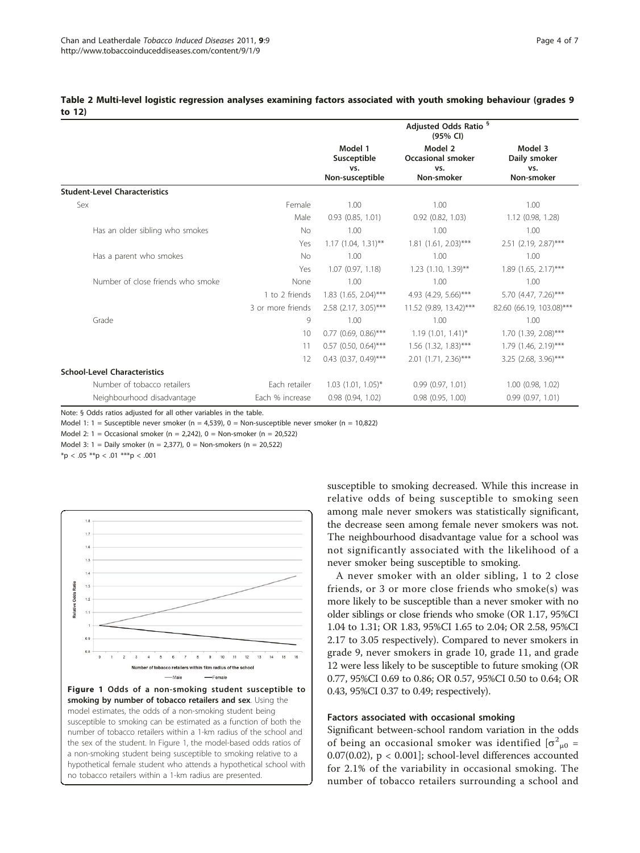#### <span id="page-3-0"></span>Table 2 Multi-level logistic regression analyses examining factors associated with youth smoking behaviour (grades 9 to 12)

|                                      |                   | Adjusted Odds Ratio <sup>5</sup><br>(95% CI)     |                                                          |                                              |  |  |  |  |
|--------------------------------------|-------------------|--------------------------------------------------|----------------------------------------------------------|----------------------------------------------|--|--|--|--|
|                                      |                   | Model 1<br>Susceptible<br>VS.<br>Non-susceptible | Model 2<br><b>Occasional smoker</b><br>VS.<br>Non-smoker | Model 3<br>Daily smoker<br>VS.<br>Non-smoker |  |  |  |  |
| <b>Student-Level Characteristics</b> |                   |                                                  |                                                          |                                              |  |  |  |  |
| Sex                                  | Female            | 1.00                                             | 1.00                                                     | 1.00                                         |  |  |  |  |
|                                      | Male              | $0.93$ $(0.85, 1.01)$                            | $0.92$ $(0.82, 1.03)$                                    | 1.12 (0.98, 1.28)                            |  |  |  |  |
| Has an older sibling who smokes      | No                | 1.00                                             | 1.00                                                     | 1.00                                         |  |  |  |  |
|                                      | Yes               | $1.17$ (1.04, 1.31)**                            | $1.81$ (1.61, 2.03)***                                   | 2.51 (2.19, 2.87)***                         |  |  |  |  |
| Has a parent who smokes              | No                | 1.00                                             | 1.00                                                     | 1.00                                         |  |  |  |  |
|                                      | Yes               | 1.07(0.97, 1.18)                                 | $1.23$ (1.10, 1.39)**                                    | $1.89$ (1.65, 2.17)***                       |  |  |  |  |
| Number of close friends who smoke    | None              | 1.00                                             | 1.00                                                     | 1.00                                         |  |  |  |  |
|                                      | 1 to 2 friends    | $1.83$ (1.65, 2.04)***                           | 4.93 (4.29, 5.66)***                                     | 5.70 (4.47, 7.26)***                         |  |  |  |  |
|                                      | 3 or more friends | 2.58 (2.17, 3.05)***                             | 11.52 (9.89, 13.42)***                                   | 82.60 (66.19, 103.08)***                     |  |  |  |  |
| Grade                                | 9                 | 1.00                                             | 1.00                                                     | 1.00                                         |  |  |  |  |
|                                      | 10                | $0.77$ (0.69, 0.86)***                           | $1.19(1.01, 1.41)^{*}$                                   | 1.70 (1.39, 2.08)***                         |  |  |  |  |
|                                      | 11                | $0.57$ (0.50, 0.64)***                           | $1.56$ (1.32, 1.83)***                                   | 1.79 (1.46, 2.19)***                         |  |  |  |  |
|                                      | 12                | $0.43$ (0.37, 0.49)***                           | $2.01$ (1.71, 2.36)***                                   | $3.25$ (2.68, 3.96)***                       |  |  |  |  |
| <b>School-Level Characteristics</b>  |                   |                                                  |                                                          |                                              |  |  |  |  |
| Number of tobacco retailers          | Each retailer     | $1.03$ (1.01, 1.05)*                             | 0.99(0.97, 1.01)                                         | $1.00$ (0.98, 1.02)                          |  |  |  |  |
| Neighbourhood disadvantage           | Each % increase   | $0.98$ $(0.94, 1.02)$                            | $0.98$ $(0.95, 1.00)$                                    | 0.99(0.97, 1.01)                             |  |  |  |  |

Note: § Odds ratios adjusted for all other variables in the table.

Model 1: 1 = Susceptible never smoker (n = 4,539), 0 = Non-susceptible never smoker (n = 10,822)

Model 2: 1 = Occasional smoker (n = 2,242), 0 = Non-smoker (n = 20,522)

Model 3:  $1 =$  Daily smoker (n = 2,377),  $0 =$  Non-smokers (n = 20,522)

 $*$ p < .05  $*$  $*$ p < .01  $*$  $*$  $*$ p < .001



the sex of the student. In Figure 1, the model-based odds ratios of a non-smoking student being susceptible to smoking relative to a hypothetical female student who attends a hypothetical school with no tobacco retailers within a 1-km radius are presented.

susceptible to smoking decreased. While this increase in relative odds of being susceptible to smoking seen among male never smokers was statistically significant, the decrease seen among female never smokers was not. The neighbourhood disadvantage value for a school was not significantly associated with the likelihood of a never smoker being susceptible to smoking.

A never smoker with an older sibling, 1 to 2 close friends, or 3 or more close friends who smoke(s) was more likely to be susceptible than a never smoker with no older siblings or close friends who smoke (OR 1.17, 95%CI 1.04 to 1.31; OR 1.83, 95%CI 1.65 to 2.04; OR 2.58, 95%CI 2.17 to 3.05 respectively). Compared to never smokers in grade 9, never smokers in grade 10, grade 11, and grade 12 were less likely to be susceptible to future smoking (OR 0.77, 95%CI 0.69 to 0.86; OR 0.57, 95%CI 0.50 to 0.64; OR 0.43, 95%CI 0.37 to 0.49; respectively).

## Factors associated with occasional smoking

Significant between-school random variation in the odds of being an occasional smoker was identified  $\sigma^2_{\mu 0}$  = 0.07(0.02),  $p < 0.001$ ; school-level differences accounted for 2.1% of the variability in occasional smoking. The number of tobacco retailers surrounding a school and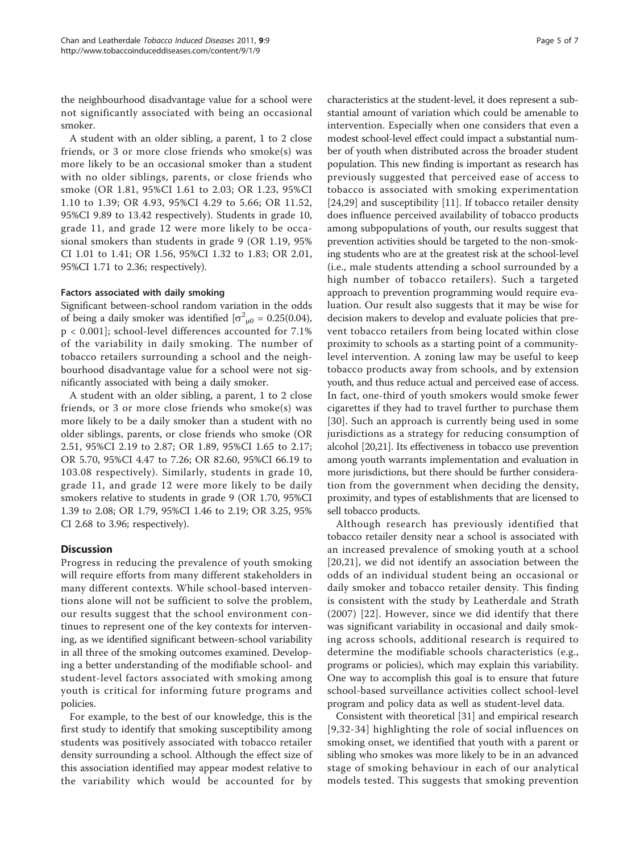the neighbourhood disadvantage value for a school were not significantly associated with being an occasional smoker.

A student with an older sibling, a parent, 1 to 2 close friends, or 3 or more close friends who smoke(s) was more likely to be an occasional smoker than a student with no older siblings, parents, or close friends who smoke (OR 1.81, 95%CI 1.61 to 2.03; OR 1.23, 95%CI 1.10 to 1.39; OR 4.93, 95%CI 4.29 to 5.66; OR 11.52, 95%CI 9.89 to 13.42 respectively). Students in grade 10, grade 11, and grade 12 were more likely to be occasional smokers than students in grade 9 (OR 1.19, 95% CI 1.01 to 1.41; OR 1.56, 95%CI 1.32 to 1.83; OR 2.01, 95%CI 1.71 to 2.36; respectively).

#### Factors associated with daily smoking

Significant between-school random variation in the odds of being a daily smoker was identified [ $\sigma_{\mu 0}^2 = 0.25(0.04)$ , p < 0.001]; school-level differences accounted for 7.1% of the variability in daily smoking. The number of tobacco retailers surrounding a school and the neighbourhood disadvantage value for a school were not significantly associated with being a daily smoker.

A student with an older sibling, a parent, 1 to 2 close friends, or 3 or more close friends who smoke(s) was more likely to be a daily smoker than a student with no older siblings, parents, or close friends who smoke (OR 2.51, 95%CI 2.19 to 2.87; OR 1.89, 95%CI 1.65 to 2.17; OR 5.70, 95%CI 4.47 to 7.26; OR 82.60, 95%CI 66.19 to 103.08 respectively). Similarly, students in grade 10, grade 11, and grade 12 were more likely to be daily smokers relative to students in grade 9 (OR 1.70, 95%CI 1.39 to 2.08; OR 1.79, 95%CI 1.46 to 2.19; OR 3.25, 95% CI 2.68 to 3.96; respectively).

#### **Discussion**

Progress in reducing the prevalence of youth smoking will require efforts from many different stakeholders in many different contexts. While school-based interventions alone will not be sufficient to solve the problem, our results suggest that the school environment continues to represent one of the key contexts for intervening, as we identified significant between-school variability in all three of the smoking outcomes examined. Developing a better understanding of the modifiable school- and student-level factors associated with smoking among youth is critical for informing future programs and policies.

For example, to the best of our knowledge, this is the first study to identify that smoking susceptibility among students was positively associated with tobacco retailer density surrounding a school. Although the effect size of this association identified may appear modest relative to the variability which would be accounted for by

characteristics at the student-level, it does represent a substantial amount of variation which could be amenable to intervention. Especially when one considers that even a modest school-level effect could impact a substantial number of youth when distributed across the broader student population. This new finding is important as research has previously suggested that perceived ease of access to tobacco is associated with smoking experimentation [[24,29](#page-6-0)] and susceptibility [\[11](#page-6-0)]. If tobacco retailer density does influence perceived availability of tobacco products among subpopulations of youth, our results suggest that prevention activities should be targeted to the non-smoking students who are at the greatest risk at the school-level (i.e., male students attending a school surrounded by a high number of tobacco retailers). Such a targeted approach to prevention programming would require evaluation. Our result also suggests that it may be wise for decision makers to develop and evaluate policies that prevent tobacco retailers from being located within close proximity to schools as a starting point of a communitylevel intervention. A zoning law may be useful to keep tobacco products away from schools, and by extension youth, and thus reduce actual and perceived ease of access. In fact, one-third of youth smokers would smoke fewer cigarettes if they had to travel further to purchase them [[30](#page-6-0)]. Such an approach is currently being used in some jurisdictions as a strategy for reducing consumption of alcohol [[20,21](#page-6-0)]. Its effectiveness in tobacco use prevention among youth warrants implementation and evaluation in more jurisdictions, but there should be further consideration from the government when deciding the density, proximity, and types of establishments that are licensed to sell tobacco products.

Although research has previously identified that tobacco retailer density near a school is associated with an increased prevalence of smoking youth at a school [[20,21\]](#page-6-0), we did not identify an association between the odds of an individual student being an occasional or daily smoker and tobacco retailer density. This finding is consistent with the study by Leatherdale and Strath (2007) [[22](#page-6-0)]. However, since we did identify that there was significant variability in occasional and daily smoking across schools, additional research is required to determine the modifiable schools characteristics (e.g., programs or policies), which may explain this variability. One way to accomplish this goal is to ensure that future school-based surveillance activities collect school-level program and policy data as well as student-level data.

Consistent with theoretical [[31](#page-6-0)] and empirical research [[9](#page-5-0),[32](#page-6-0)-[34\]](#page-6-0) highlighting the role of social influences on smoking onset, we identified that youth with a parent or sibling who smokes was more likely to be in an advanced stage of smoking behaviour in each of our analytical models tested. This suggests that smoking prevention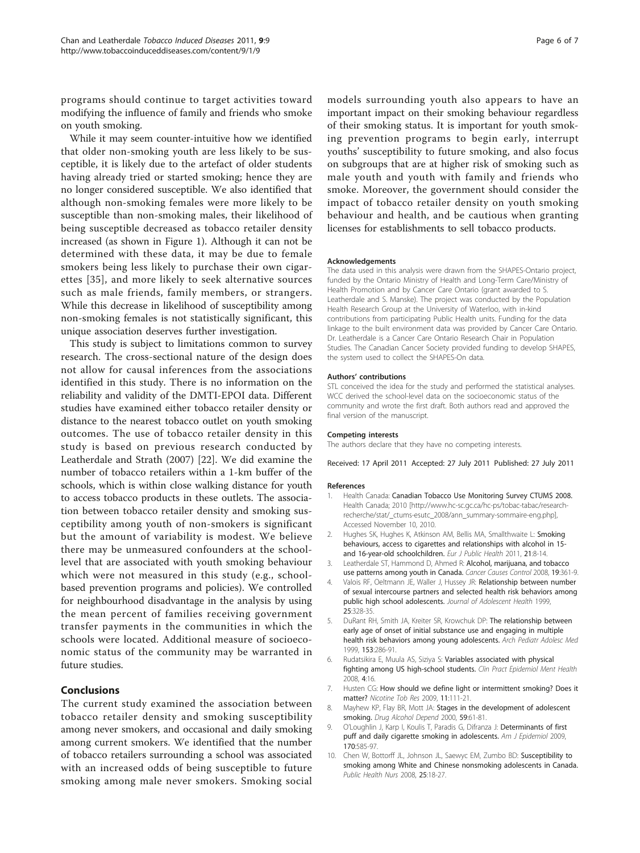<span id="page-5-0"></span>programs should continue to target activities toward modifying the influence of family and friends who smoke on youth smoking.

While it may seem counter-intuitive how we identified that older non-smoking youth are less likely to be susceptible, it is likely due to the artefact of older students having already tried or started smoking; hence they are no longer considered susceptible. We also identified that although non-smoking females were more likely to be susceptible than non-smoking males, their likelihood of being susceptible decreased as tobacco retailer density increased (as shown in Figure [1](#page-3-0)). Although it can not be determined with these data, it may be due to female smokers being less likely to purchase their own cigarettes [[35](#page-6-0)], and more likely to seek alternative sources such as male friends, family members, or strangers. While this decrease in likelihood of susceptibility among non-smoking females is not statistically significant, this unique association deserves further investigation.

This study is subject to limitations common to survey research. The cross-sectional nature of the design does not allow for causal inferences from the associations identified in this study. There is no information on the reliability and validity of the DMTI-EPOI data. Different studies have examined either tobacco retailer density or distance to the nearest tobacco outlet on youth smoking outcomes. The use of tobacco retailer density in this study is based on previous research conducted by Leatherdale and Strath (2007) [\[22](#page-6-0)]. We did examine the number of tobacco retailers within a 1-km buffer of the schools, which is within close walking distance for youth to access tobacco products in these outlets. The association between tobacco retailer density and smoking susceptibility among youth of non-smokers is significant but the amount of variability is modest. We believe there may be unmeasured confounders at the schoollevel that are associated with youth smoking behaviour which were not measured in this study (e.g., schoolbased prevention programs and policies). We controlled for neighbourhood disadvantage in the analysis by using the mean percent of families receiving government transfer payments in the communities in which the schools were located. Additional measure of socioeconomic status of the community may be warranted in future studies.

## Conclusions

The current study examined the association between tobacco retailer density and smoking susceptibility among never smokers, and occasional and daily smoking among current smokers. We identified that the number of tobacco retailers surrounding a school was associated with an increased odds of being susceptible to future smoking among male never smokers. Smoking social

models surrounding youth also appears to have an important impact on their smoking behaviour regardless of their smoking status. It is important for youth smoking prevention programs to begin early, interrupt youths' susceptibility to future smoking, and also focus on subgroups that are at higher risk of smoking such as male youth and youth with family and friends who smoke. Moreover, the government should consider the impact of tobacco retailer density on youth smoking behaviour and health, and be cautious when granting licenses for establishments to sell tobacco products.

#### Acknowledgements

The data used in this analysis were drawn from the SHAPES-Ontario project, funded by the Ontario Ministry of Health and Long-Term Care/Ministry of Health Promotion and by Cancer Care Ontario (grant awarded to S. Leatherdale and S. Manske). The project was conducted by the Population Health Research Group at the University of Waterloo, with in-kind contributions from participating Public Health units. Funding for the data linkage to the built environment data was provided by Cancer Care Ontario. Dr. Leatherdale is a Cancer Care Ontario Research Chair in Population Studies. The Canadian Cancer Society provided funding to develop SHAPES, the system used to collect the SHAPES-On data.

#### Authors' contributions

STL conceived the idea for the study and performed the statistical analyses. WCC derived the school-level data on the socioeconomic status of the community and wrote the first draft. Both authors read and approved the final version of the manuscript.

#### Competing interests

The authors declare that they have no competing interests.

Received: 17 April 2011 Accepted: 27 July 2011 Published: 27 July 2011

#### References

- 1. Health Canada: Canadian Tobacco Use Monitoring Survey CTUMS 2008. Health Canada; 2010 [[http://www.hc-sc.gc.ca/hc-ps/tobac-tabac/research](http://www.hc-sc.gc.ca/hc-ps/tobac-tabac/research-recherche/stat/_ctums-esutc_2008/ann_summary-sommaire-eng.php)[recherche/stat/\\_ctums-esutc\\_2008/ann\\_summary-sommaire-eng.php](http://www.hc-sc.gc.ca/hc-ps/tobac-tabac/research-recherche/stat/_ctums-esutc_2008/ann_summary-sommaire-eng.php)], Accessed November 10, 2010.
- 2. Hughes SK, Hughes K, Atkinson AM, Bellis MA, Smallthwaite L: [Smoking](http://www.ncbi.nlm.nih.gov/pubmed/20145050?dopt=Abstract) [behaviours, access to cigarettes and relationships with alcohol in 15](http://www.ncbi.nlm.nih.gov/pubmed/20145050?dopt=Abstract) [and 16-year-old schoolchildren.](http://www.ncbi.nlm.nih.gov/pubmed/20145050?dopt=Abstract) Eur J Public Health 2011, 21:8-14.
- 3. Leatherdale ST, Hammond D, Ahmed R: [Alcohol, marijuana, and tobacco](http://www.ncbi.nlm.nih.gov/pubmed/18058247?dopt=Abstract) [use patterns among youth in Canada.](http://www.ncbi.nlm.nih.gov/pubmed/18058247?dopt=Abstract) Cancer Causes Control 2008, 19:361-9.
- 4. Valois RF, Oeltmann JE, Waller J, Hussey JR: [Relationship between number](http://www.ncbi.nlm.nih.gov/pubmed/10551663?dopt=Abstract) [of sexual intercourse partners and selected health risk behaviors among](http://www.ncbi.nlm.nih.gov/pubmed/10551663?dopt=Abstract) [public high school adolescents.](http://www.ncbi.nlm.nih.gov/pubmed/10551663?dopt=Abstract) Journal of Adolescent Health 1999, 25:328-35.
- 5. DuRant RH, Smith JA, Kreiter SR, Krowchuk DP: [The relationship between](http://www.ncbi.nlm.nih.gov/pubmed/10086407?dopt=Abstract) [early age of onset of initial substance use and engaging in multiple](http://www.ncbi.nlm.nih.gov/pubmed/10086407?dopt=Abstract) [health risk behaviors among young adolescents.](http://www.ncbi.nlm.nih.gov/pubmed/10086407?dopt=Abstract) Arch Pediatr Adolesc Med 1999, 153:286-91.
- 6. Rudatsikira E, Muula AS, Siziya S: [Variables associated with physical](http://www.ncbi.nlm.nih.gov/pubmed/18510746?dopt=Abstract) [fighting among US high-school students.](http://www.ncbi.nlm.nih.gov/pubmed/18510746?dopt=Abstract) Clin Pract Epidemiol Ment Health 2008, 4:16.
- 7. Husten CG: [How should we define light or intermittent smoking? Does it](http://www.ncbi.nlm.nih.gov/pubmed/19246425?dopt=Abstract) [matter?](http://www.ncbi.nlm.nih.gov/pubmed/19246425?dopt=Abstract) Nicotine Tob Res 2009, 11:111-21.
- 8. Mayhew KP, Flay BR, Mott JA: Stages in the development of adolescent smoking. Drug Alcohol Depend 2000, 59:61-81.
- 9. O'Loughlin J, Karp I, Koulis T, Paradis G, Difranza J: [Determinants of first](http://www.ncbi.nlm.nih.gov/pubmed/19635735?dopt=Abstract) [puff and daily cigarette smoking in adolescents.](http://www.ncbi.nlm.nih.gov/pubmed/19635735?dopt=Abstract) Am J Epidemiol 2009, 170:585-97.
- 10. Chen W, Bottorff JL, Johnson JL, Saewyc EM, Zumbo BD: [Susceptibility to](http://www.ncbi.nlm.nih.gov/pubmed/18173582?dopt=Abstract) [smoking among White and Chinese nonsmoking adolescents in Canada.](http://www.ncbi.nlm.nih.gov/pubmed/18173582?dopt=Abstract) Public Health Nurs 2008, 25:18-27.